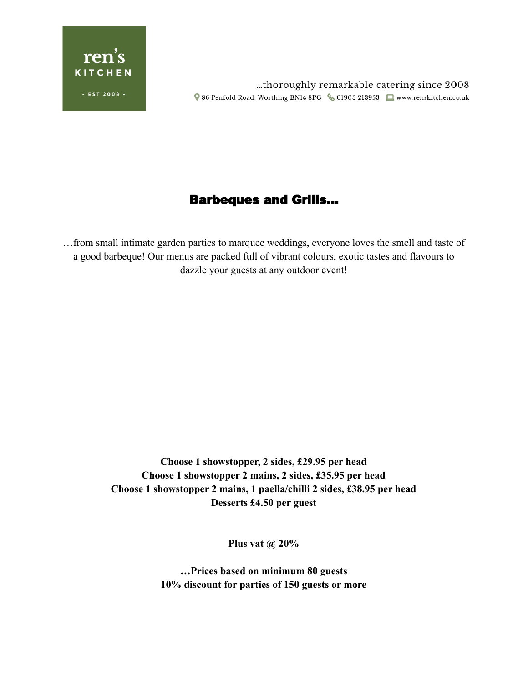

...thoroughly remarkable catering since 2008 Q 86 Penfold Road, Worthing BN14 8PG & 01903 213953 ■ www.renskitchen.co.uk

# Barbeques and Grills…

…from small intimate garden parties to marquee weddings, everyone loves the smell and taste of a good barbeque! Our menus are packed full of vibrant colours, exotic tastes and flavours to dazzle your guests at any outdoor event!

> **Choose 1 showstopper, 2 sides, £29.95 per head Choose 1 showstopper 2 mains, 2 sides, £35.95 per head Choose 1 showstopper 2 mains, 1 paella/chilli 2 sides, £38.95 per head Desserts £4.50 per guest**

> > **Plus vat @ 20%**

**…Prices based on minimum 80 guests 10% discount for parties of 150 guests or more**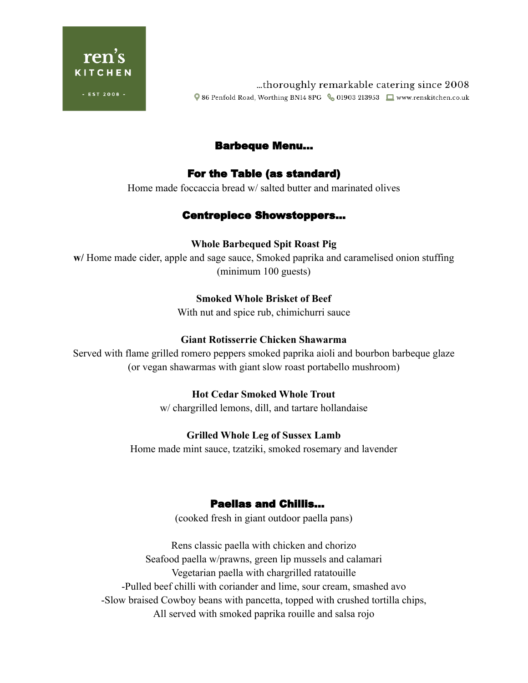

thoroughly remarkable catering since 2008... ♥ 86 Penfold Road, Worthing BN14 8PG 601903 213953 ■ www.renskitchen.co.uk

# Barbeque Menu...

# For the Table (as standard)

Home made foccaccia bread w/ salted butter and marinated olives

# Centrepiece Showstoppers…

## **Whole Barbequed Spit Roast Pig**

**w/** Home made cider, apple and sage sauce, Smoked paprika and caramelised onion stuffing (minimum 100 guests)

## **Smoked Whole Brisket of Beef**

With nut and spice rub, chimichurri sauce

## **Giant Rotisserrie Chicken Shawarma**

Served with flame grilled romero peppers smoked paprika aioli and bourbon barbeque glaze (or vegan shawarmas with giant slow roast portabello mushroom)

## **Hot Cedar Smoked Whole Trout**

w/ chargrilled lemons, dill, and tartare hollandaise

#### **Grilled Whole Leg of Sussex Lamb**

Home made mint sauce, tzatziki, smoked rosemary and lavender

# Paellas and Chillis…

(cooked fresh in giant outdoor paella pans)

Rens classic paella with chicken and chorizo Seafood paella w/prawns, green lip mussels and calamari Vegetarian paella with chargrilled ratatouille -Pulled beef chilli with coriander and lime, sour cream, smashed avo -Slow braised Cowboy beans with pancetta, topped with crushed tortilla chips, All served with smoked paprika rouille and salsa rojo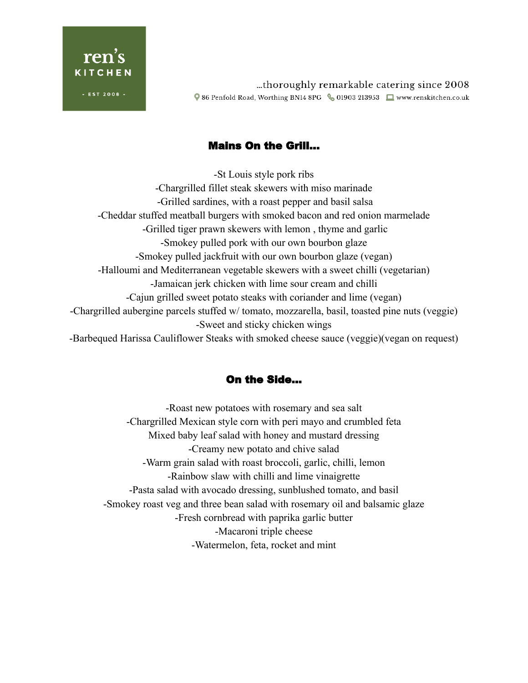

thoroughly remarkable catering since 2008... ♥ 86 Penfold Road, Worthing BN14 8PG & 01903 213953 ■ www.renskitchen.co.uk

# Mains On the Grill…

-St Louis style pork ribs -Chargrilled fillet steak skewers with miso marinade -Grilled sardines, with a roast pepper and basil salsa -Cheddar stuffed meatball burgers with smoked bacon and red onion marmelade -Grilled tiger prawn skewers with lemon , thyme and garlic -Smokey pulled pork with our own bourbon glaze -Smokey pulled jackfruit with our own bourbon glaze (vegan) -Halloumi and Mediterranean vegetable skewers with a sweet chilli (vegetarian) -Jamaican jerk chicken with lime sour cream and chilli -Cajun grilled sweet potato steaks with coriander and lime (vegan) -Chargrilled aubergine parcels stuffed w/ tomato, mozzarella, basil, toasted pine nuts (veggie) -Sweet and sticky chicken wings -Barbequed Harissa Cauliflower Steaks with smoked cheese sauce (veggie)(vegan on request)

# On the Side…

-Roast new potatoes with rosemary and sea salt -Chargrilled Mexican style corn with peri mayo and crumbled feta Mixed baby leaf salad with honey and mustard dressing -Creamy new potato and chive salad -Warm grain salad with roast broccoli, garlic, chilli, lemon -Rainbow slaw with chilli and lime vinaigrette -Pasta salad with avocado dressing, sunblushed tomato, and basil -Smokey roast veg and three bean salad with rosemary oil and balsamic glaze -Fresh cornbread with paprika garlic butter -Macaroni triple cheese -Watermelon, feta, rocket and mint